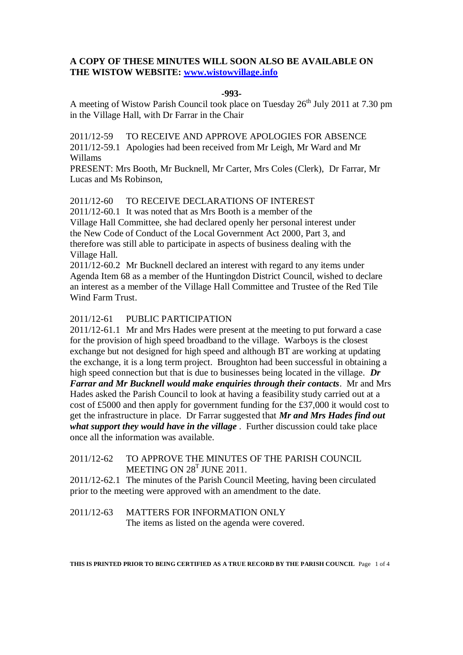# **A COPY OF THESE MINUTES WILL SOON ALSO BE AVAILABLE ON THE WISTOW WEBSITE: [www.wistowvillage.info](http://www.wistowvillage.info/)**

#### **-993-**

A meeting of Wistow Parish Council took place on Tuesday 26<sup>th</sup> July 2011 at 7.30 pm in the Village Hall, with Dr Farrar in the Chair

2011/12-59 TO RECEIVE AND APPROVE APOLOGIES FOR ABSENCE 2011/12-59.1 Apologies had been received from Mr Leigh, Mr Ward and Mr Willams

PRESENT: Mrs Booth, Mr Bucknell, Mr Carter, Mrs Coles (Clerk), Dr Farrar, Mr Lucas and Ms Robinson,

2011/12-60 TO RECEIVE DECLARATIONS OF INTEREST

2011/12-60.1 It was noted that as Mrs Booth is a member of the Village Hall Committee, she had declared openly her personal interest under the New Code of Conduct of the Local Government Act 2000, Part 3, and therefore was still able to participate in aspects of business dealing with the Village Hall.

2011/12-60.2 Mr Bucknell declared an interest with regard to any items under Agenda Item 68 as a member of the Huntingdon District Council, wished to declare an interest as a member of the Village Hall Committee and Trustee of the Red Tile Wind Farm Trust.

## 2011/12-61 PUBLIC PARTICIPATION

2011/12-61.1 Mr and Mrs Hades were present at the meeting to put forward a case for the provision of high speed broadband to the village. Warboys is the closest exchange but not designed for high speed and although BT are working at updating the exchange, it is a long term project. Broughton had been successful in obtaining a high speed connection but that is due to businesses being located in the village. *Dr Farrar and Mr Bucknell would make enquiries through their contacts*. Mr and Mrs Hades asked the Parish Council to look at having a feasibility study carried out at a cost of £5000 and then apply for government funding for the £37,000 it would cost to get the infrastructure in place. Dr Farrar suggested that *Mr and Mrs Hades find out what support they would have in the village* . Further discussion could take place once all the information was available.

# 2011/12-62 TO APPROVE THE MINUTES OF THE PARISH COUNCIL MEETING ON 28<sup>T</sup> JUNE 2011.

2011/12-62.1 The minutes of the Parish Council Meeting, having been circulated prior to the meeting were approved with an amendment to the date.

# 2011/12-63 MATTERS FOR INFORMATION ONLY The items as listed on the agenda were covered.

**THIS IS PRINTED PRIOR TO BEING CERTIFIED AS A TRUE RECORD BY THE PARISH COUNCIL** Page 1 of 4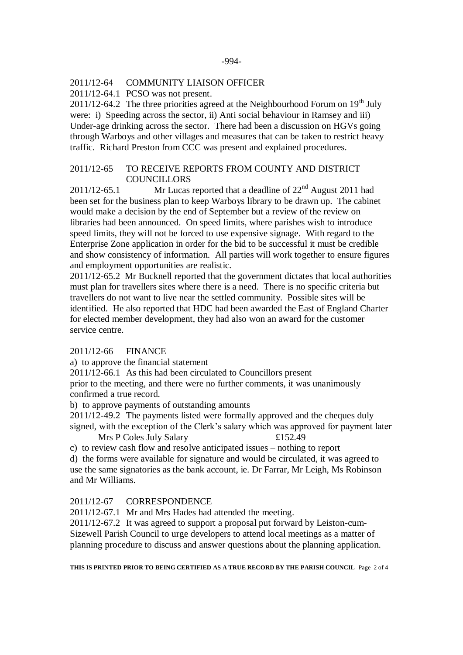#### 2011/12-64 COMMUNITY LIAISON OFFICER

2011/12-64.1 PCSO was not present.

 $2011/12-64.2$  The three priorities agreed at the Neighbourhood Forum on 19<sup>th</sup> July were: i) Speeding across the sector, ii) Anti social behaviour in Ramsey and iii) Under-age drinking across the sector. There had been a discussion on HGVs going through Warboys and other villages and measures that can be taken to restrict heavy traffic. Richard Preston from CCC was present and explained procedures.

## 2011/12-65 TO RECEIVE REPORTS FROM COUNTY AND DISTRICT **COUNCILLORS**

 $2011/12-65.1$  Mr Lucas reported that a deadline of  $22<sup>nd</sup>$  August 2011 had been set for the business plan to keep Warboys library to be drawn up. The cabinet would make a decision by the end of September but a review of the review on libraries had been announced. On speed limits, where parishes wish to introduce speed limits, they will not be forced to use expensive signage. With regard to the Enterprise Zone application in order for the bid to be successful it must be credible and show consistency of information. All parties will work together to ensure figures and employment opportunities are realistic.

2011/12-65.2 Mr Bucknell reported that the government dictates that local authorities must plan for travellers sites where there is a need. There is no specific criteria but travellers do not want to live near the settled community. Possible sites will be identified. He also reported that HDC had been awarded the East of England Charter for elected member development, they had also won an award for the customer service centre.

## 2011/12-66 FINANCE

a) to approve the financial statement

2011/12-66.1 As this had been circulated to Councillors present

prior to the meeting, and there were no further comments, it was unanimously confirmed a true record.

b) to approve payments of outstanding amounts

2011/12-49.2 The payments listed were formally approved and the cheques duly signed, with the exception of the Clerk's salary which was approved for payment later

Mrs P Coles July Salary  $£152.49$ 

c) to review cash flow and resolve anticipated issues – nothing to report

d) the forms were available for signature and would be circulated, it was agreed to use the same signatories as the bank account, ie. Dr Farrar, Mr Leigh, Ms Robinson and Mr Williams.

## 2011/12-67 CORRESPONDENCE

2011/12-67.1 Mr and Mrs Hades had attended the meeting.

2011/12-67.2 It was agreed to support a proposal put forward by Leiston-cum-Sizewell Parish Council to urge developers to attend local meetings as a matter of planning procedure to discuss and answer questions about the planning application.

**THIS IS PRINTED PRIOR TO BEING CERTIFIED AS A TRUE RECORD BY THE PARISH COUNCIL** Page 2 of 4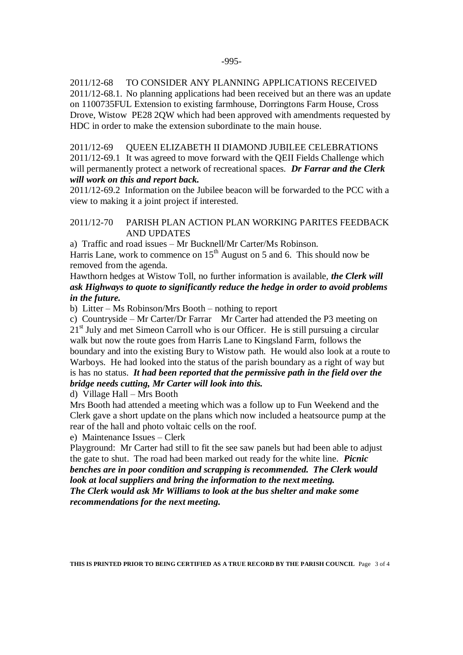2011/12-68 TO CONSIDER ANY PLANNING APPLICATIONS RECEIVED 2011/12-68.1. No planning applications had been received but an there was an update on 1100735FUL Extension to existing farmhouse, Dorringtons Farm House, Cross Drove, Wistow PE28 2QW which had been approved with amendments requested by HDC in order to make the extension subordinate to the main house.

2011/12-69 QUEEN ELIZABETH II DIAMOND JUBILEE CELEBRATIONS 2011/12-69.1 It was agreed to move forward with the QEII Fields Challenge which will permanently protect a network of recreational spaces. *Dr Farrar and the Clerk will work on this and report back.*

2011/12-69.2 Information on the Jubilee beacon will be forwarded to the PCC with a view to making it a joint project if interested.

# 2011/12-70 PARISH PLAN ACTION PLAN WORKING PARITES FEEDBACK AND UPDATES

a) Traffic and road issues – Mr Bucknell/Mr Carter/Ms Robinson.

Harris Lane, work to commence on  $15<sup>th</sup>$  August on 5 and 6. This should now be removed from the agenda.

Hawthorn hedges at Wistow Toll, no further information is available, *the Clerk will ask Highways to quote to significantly reduce the hedge in order to avoid problems in the future.*

b) Litter – Ms Robinson/Mrs Booth – nothing to report

c) Countryside – Mr Carter/Dr Farrar Mr Carter had attended the P3 meeting on 21<sup>st</sup> July and met Simeon Carroll who is our Officer. He is still pursuing a circular walk but now the route goes from Harris Lane to Kingsland Farm, follows the boundary and into the existing Bury to Wistow path. He would also look at a route to Warboys. He had looked into the status of the parish boundary as a right of way but is has no status. *It had been reported that the permissive path in the field over the bridge needs cutting, Mr Carter will look into this.*

d) Village Hall – Mrs Booth

Mrs Booth had attended a meeting which was a follow up to Fun Weekend and the Clerk gave a short update on the plans which now included a heatsource pump at the rear of the hall and photo voltaic cells on the roof.

## e) Maintenance Issues – Clerk

Playground: Mr Carter had still to fit the see saw panels but had been able to adjust the gate to shut. The road had been marked out ready for the white line. *Picnic benches are in poor condition and scrapping is recommended. The Clerk would look at local suppliers and bring the information to the next meeting. The Clerk would ask Mr Williams to look at the bus shelter and make some recommendations for the next meeting.*